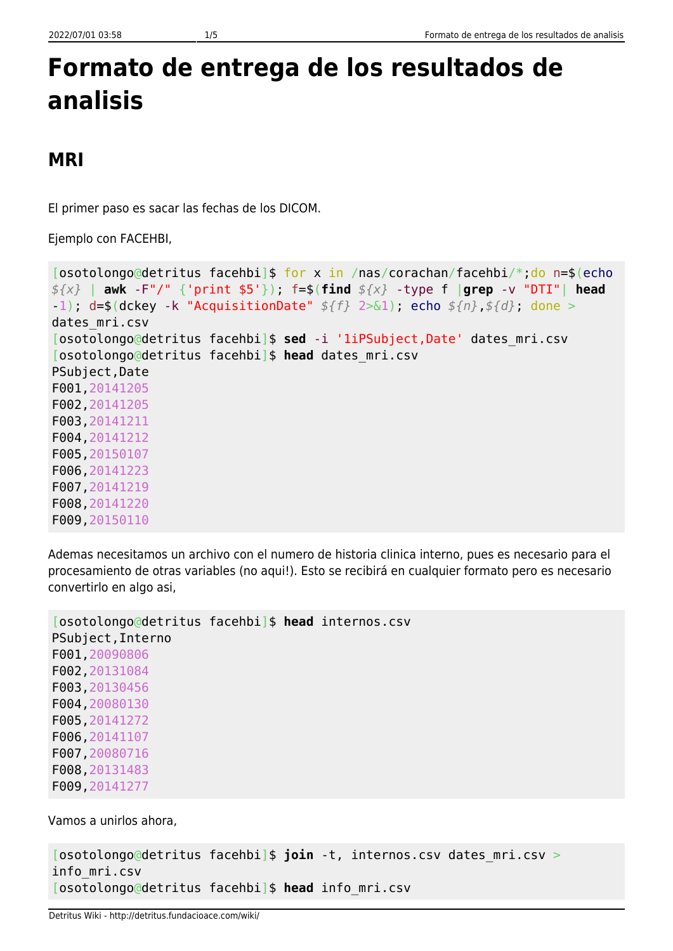## **Formato de entrega de los resultados de analisis**

## **MRI**

El primer paso es sacar las fechas de los DICOM.

Ejemplo con FACEHBI,

```
[osotolongo@detritus facehbi]$ for x in /nas/corachan/facehbi/*;do n=$(echo
${x} | awk -F"/" {'print $5'}); f=$(find ${x} -type f |grep -v "DTI"| head
-1); d=$(dckey -k "AcquisitionDate" ${f} 2>&1); echo ${n},${d}; done >
dates_mri.csv
[osotolongo@detritus facehbi]$ sed -i '1iPSubject,Date' dates_mri.csv
[osotolongo@detritus facehbi]$ head dates_mri.csv
PSubject,Date
F001,20141205
F002,20141205
F003,20141211
F004,20141212
F005,20150107
F006,20141223
F007,20141219
F008,20141220
F009,20150110
```
Ademas necesitamos un archivo con el numero de historia clinica interno, pues es necesario para el procesamiento de otras variables (no aqui!). Esto se recibirá en cualquier formato pero es necesario convertirlo en algo asi,

```
[osotolongo@detritus facehbi]$ head internos.csv
PSubject,Interno
F001,20090806
F002,20131084
F003,20130456
F004,20080130
F005,20141272
F006,20141107
F007,20080716
F008,20131483
F009,20141277
```
Vamos a unirlos ahora,

```
[osotolongo@detritus facehbi]$ join -t, internos.csv dates_mri.csv >
info_mri.csv
[osotolongo@detritus facehbi]$ head info_mri.csv
```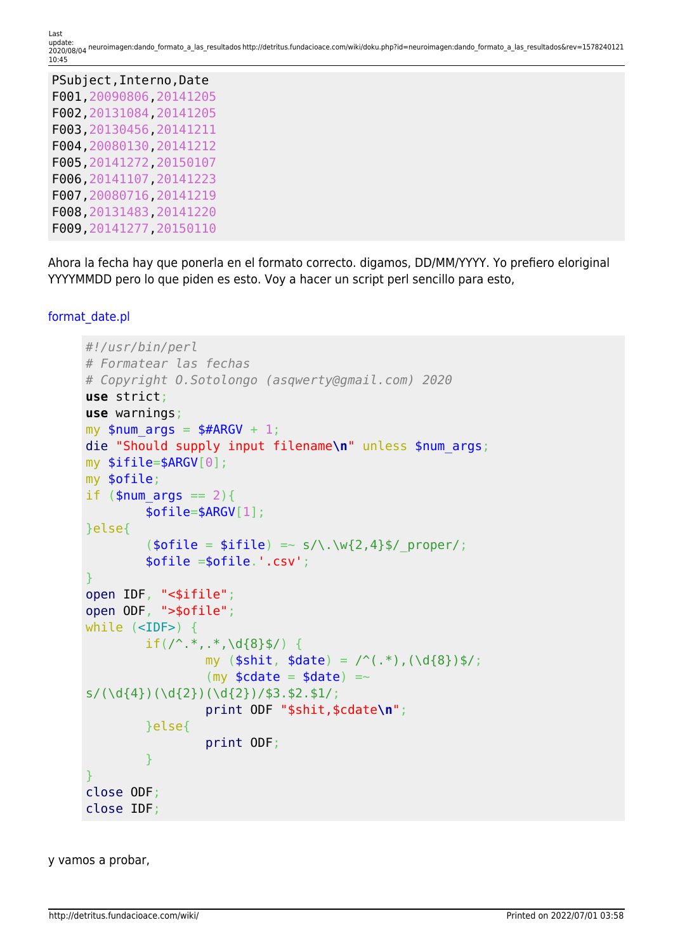| PSubject, Interno, Date  |
|--------------------------|
| F001, 20090806, 20141205 |
| F002, 20131084, 20141205 |
| F003, 20130456, 20141211 |
| F004, 20080130, 20141212 |
| F005, 20141272, 20150107 |
| F006, 20141107, 20141223 |
| F007, 20080716, 20141219 |
| F008, 20131483, 20141220 |
| F009, 20141277, 20150110 |

Ahora la fecha hay que ponerla en el formato correcto. digamos, DD/MM/YYYY. Yo prefiero eloriginal YYYYMMDD pero lo que piden es esto. Voy a hacer un script perl sencillo para esto,

```
format_date.pl
```

```
#!/usr/bin/perl
# Formatear las fechas
# Copyright O.Sotolongo (asqwerty@gmail.com) 2020
use strict;
use warnings;
my $num \text{ args} = $#ARGV + 1;die "Should supply input filename\n" unless $num_args;
my $ifile=$ARGV[0];
my $ofile;
if (\text{ $num\space args == 2) } $ofile=$ARGV[1];
}else{
          (\text{sofile} = \text{sifile}) \implies s/\.\warrow\{2,4\}\/ proper/;
           $ofile =$ofile.'.csv';
}
open IDF, "<$ifile";
open ODF, ">$ofile";
while (<IDF>) {
          if(/^.*,.*,\d{8}$/) {
                    my (\text{shift}, \text{state}) = \text{``(.*)}, (\text{d}_{8})\ /;
                    (my \text{\textlessleft} = \text{\textlessleft} = \text{\textlessleft}s/(\d{4})(\d{2})(\d{2})(\d{2})/\$3.\$2.\$1/; print ODF "$shit,$cdate\n";
           }else{
                     print ODF;
           }
}
close ODF;
close IDF;
```
y vamos a probar,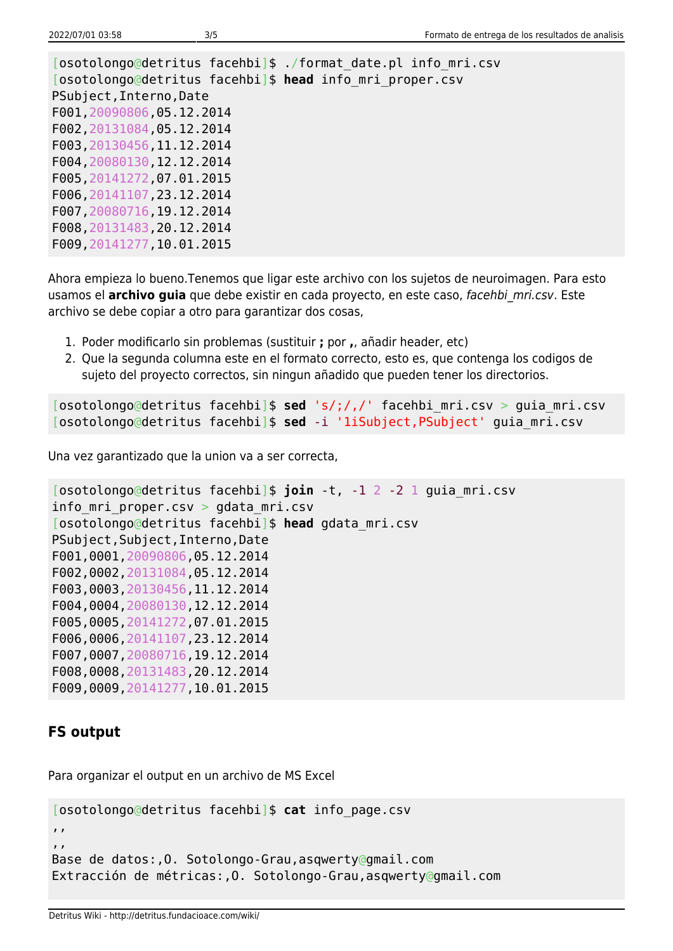[osotolongo@detritus facehbi]\$ ./format\_date.pl info\_mri.csv [osotolongo@detritus facehbi]\$ **head** info\_mri\_proper.csv PSubject,Interno,Date F001,20090806,05.12.2014 F002,20131084,05.12.2014 F003,20130456,11.12.2014 F004,20080130,12.12.2014 F005,20141272,07.01.2015 F006,20141107,23.12.2014 F007,20080716,19.12.2014 F008,20131483,20.12.2014 F009,20141277,10.01.2015

Ahora empieza lo bueno.Tenemos que ligar este archivo con los sujetos de neuroimagen. Para esto usamos el **archivo guia** que debe existir en cada proyecto, en este caso, facehbi mri.csv. Este archivo se debe copiar a otro para garantizar dos cosas,

- 1. Poder modificarlo sin problemas (sustituir **;** por **,**, añadir header, etc)
- 2. Que la segunda columna este en el formato correcto, esto es, que contenga los codigos de sujeto del proyecto correctos, sin ningun añadido que pueden tener los directorios.

[osotolongo@detritus facehbi]\$ **sed** 's/;/,/' facehbi\_mri.csv > guia\_mri.csv [osotolongo@detritus facehbi]\$ **sed** -i '1iSubject,PSubject' guia\_mri.csv

Una vez garantizado que la union va a ser correcta,

```
[osotolongo@detritus facehbi]$ join -t, -1 2 -2 1 guia_mri.csv
info_mri_proper.csv > gdata_mri.csv
[osotolongo@detritus facehbi]$ head gdata_mri.csv
PSubject,Subject,Interno,Date
F001,0001,20090806,05.12.2014
F002,0002,20131084,05.12.2014
F003,0003,20130456,11.12.2014
F004,0004,20080130,12.12.2014
F005,0005,20141272,07.01.2015
F006,0006,20141107,23.12.2014
F007,0007,20080716,19.12.2014
F008,0008,20131483,20.12.2014
F009,0009,20141277,10.01.2015
```
## **FS output**

Para organizar el output en un archivo de MS Excel

```
[osotolongo@detritus facehbi]$ cat info_page.csv
,,
,,
Base de datos:,O. Sotolongo-Grau,asqwerty@gmail.com
Extracción de métricas:,O. Sotolongo-Grau,asqwerty@gmail.com
```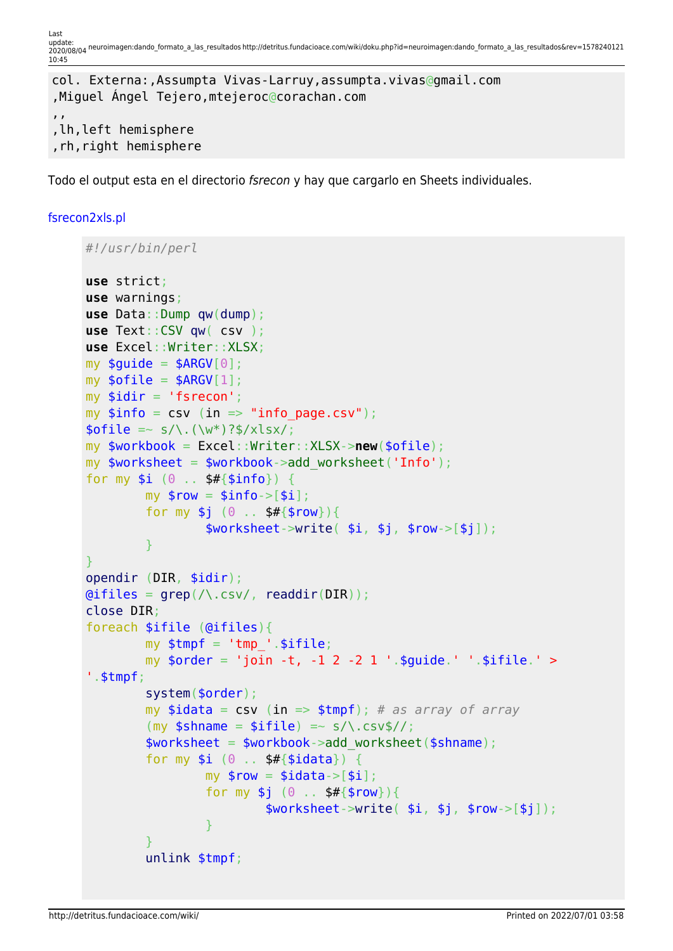Last update:<br>2020/08/04 neuroimagen:dando\_formato\_a\_las\_resultados http://detritus.fundacioace.com/wiki/doku.php?id=neuroimagen:dando\_formato\_a\_las\_resultados&rev=1578240121 10:45

```
col. Externa:,Assumpta Vivas-Larruy,assumpta.vivas@gmail.com
,Miguel Ángel Tejero,mtejeroc@corachan.com
,,
,lh,left hemisphere
,rh,right hemisphere
```
Todo el output esta en el directorio fsrecon y hay que cargarlo en Sheets individuales.

## [fsrecon2xls.pl](http://detritus.fundacioace.com/wiki/doku.php?do=export_code&id=neuroimagen:dando_formato_a_las_resultados&codeblock=8)

```
#!/usr/bin/perl
use strict;
use warnings;
use Data::Dump qw(dump);
use Text::CSV qw( csv );
use Excel::Writer::XLSX;
my $quide = $ARGV[0];my \text{softile} = \text{SARGV[1]};
my $idir = 'fsrecon';
my $info = csv (in =& "info page.csv");\text{folie} = \frac{s}{\sqrt{(w^*)}^3} / x \text{lsx};my $workbook = Excel::Writer::XLSX->new($ofile);
my $worksheet = $workbook->add_worksheet('Info');
for my $i (0 . . $#{5info}) {
         my $row = $info->[$i];for my $j (0 . . $#{$row}) {
                    $worksheet-write( $i, $j, $rowsC- }
}
opendir (DIR, $idir);
grep(\land.csv/readdir(DIR));
close DIR;
foreach $ifile (@ifiles){
         my $tmpf = 'tmp' .$ifile;my \sqrt{3} \sqrt{3} \sqrt{2} \sqrt{2} \sqrt{2} \sqrt{2} \sqrt{2} \sqrt{2} \sqrt{2} \sqrt{2} \sqrt{2} \sqrt{2} \sqrt{2} \sqrt{2} \sqrt{2} \sqrt{2} \sqrt{2} \sqrt{2} \sqrt{2} \sqrt{2} \sqrt{2} \sqrt{2} \sqrt{2} \sqrt{2} \sqrt{2} \sqrt{2} \sqrt{2} \'.$tmpf;
           system($order);
           my $idata = csv (in => $tmpf); # as array of array
          (my $shname = $ifile) =~ s/\.csv$//;
           $worksheet = $workbook->add_worksheet($shname);
          for my $i (0 .. $#{3i}data}) {
                   my $row = $idata->[§i];for my $j (0 . . $#{$row}) {
                              >write( $i, $j, $rows.]=\{x_i\}_{i=1}^n , where \{x_i\}_{i=1}^n }
           unlink $tmpf;
```